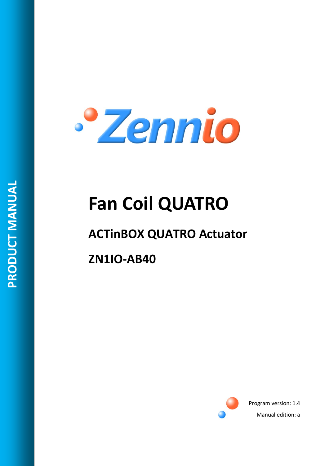

# **Fan Coil QUATRO**

# **ACTinBOX QUATRO Actuator**

**ZN1IO-AB40**



Program version: 1.4 Manual edition: a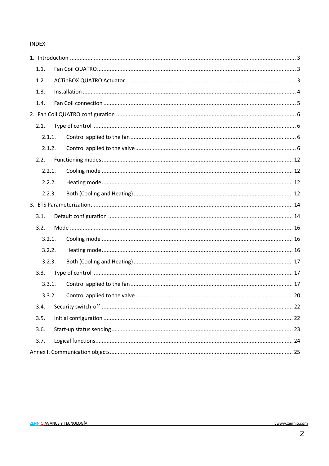#### **INDEX**

| 1.1.   |  |
|--------|--|
| 1.2.   |  |
| 1.3.   |  |
| 1.4.   |  |
|        |  |
| 2.1.   |  |
| 2.1.1. |  |
| 2.1.2. |  |
| 2.2.   |  |
| 2.2.1. |  |
| 2.2.2. |  |
| 2.2.3. |  |
|        |  |
| 3.1.   |  |
| 3.2.   |  |
| 3.2.1. |  |
| 3.2.2. |  |
| 3.2.3. |  |
| 3.3.   |  |
| 3.3.1. |  |
| 3.3.2. |  |
| 3.4.   |  |
| 3.5.   |  |
| 3.6.   |  |
| 3.7.   |  |
|        |  |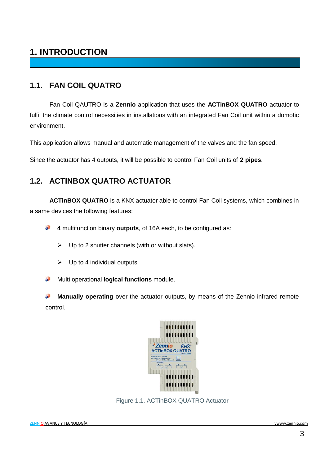### <span id="page-2-0"></span>**1. INTRODUCTION**

#### <span id="page-2-1"></span>**1.1. FAN COIL QUATRO**

Fan Coil QAUTRO is a **Zennio** application that uses the **ACTinBOX QUATRO** actuator to fulfil the climate control necessities in installations with an integrated Fan Coil unit within a domotic environment.

This application allows manual and automatic management of the valves and the fan speed.

Since the actuator has 4 outputs, it will be possible to control Fan Coil units of **2 pipes**.

#### <span id="page-2-2"></span>**1.2. ACTINBOX QUATRO ACTUATOR**

**ACTinBOX QUATRO** is a KNX actuator able to control Fan Coil systems, which combines in a same devices the following features:

D **4** multifunction binary **outputs**, of 16A each, to be configured as:

- $\triangleright$  Up to 2 shutter channels (with or without slats).
- $\triangleright$  Up to 4 individual outputs.

Multi operational **logical functions** module. S

**Manually operating** over the actuator outputs, by means of the Zennio infrared remote control.



Figure 1.1. ACTinBOX QUATRO Actuator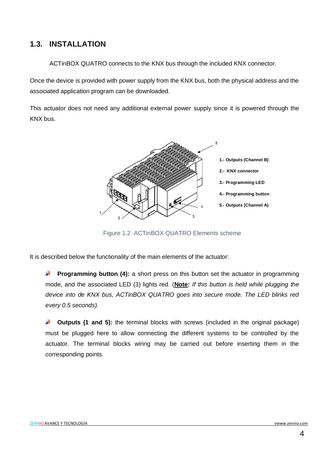#### <span id="page-3-0"></span>**1.3. INSTALLATION**

ACTinBOX QUATRO connects to the KNX bus through the included KNX connector.

Once the device is provided with power supply from the KNX bus, both the physical address and the associated application program can be downloaded.

This actuator does not need any additional external power supply since it is powered through the KNX bus.



Figure 1.2. ACTinBOX QUATRO Elements scheme

It is described below the functionality of the main elements of the actuator:

**Programming button (4):** a short press on this button set the actuator in programming mode, and the associated LED (3) lights red. (**Note:** *If this button is held while plugging the device into de KNX bus, ACTinBOX QUATRO goes into secure mode. The LED blinks red every 0.5 seconds).*

**Outputs (1 and 5):** the terminal blocks with screws (included in the original package) S. must be plugged here to allow connecting the different systems to be controlled by the actuator. The terminal blocks wiring may be carried out before inserting them in the corresponding points.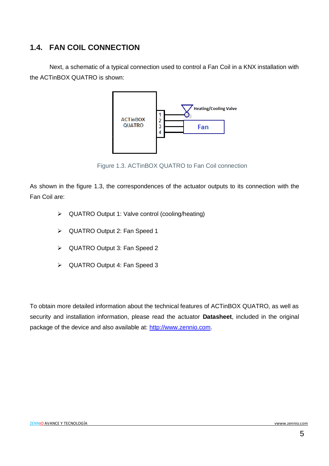#### <span id="page-4-0"></span>**1.4. FAN COIL CONNECTION**

Next, a schematic of a typical connection used to control a Fan Coil in a KNX installation with the ACTinBOX QUATRO is shown:



Figure 1.3. ACTinBOX QUATRO to Fan Coil connection

As shown in the figure 1.3, the correspondences of the actuator outputs to its connection with the Fan Coil are:

- QUATRO Output 1: Valve control (cooling/heating)
- QUATRO Output 2: Fan Speed 1
- QUATRO Output 3: Fan Speed 2
- QUATRO Output 4: Fan Speed 3

To obtain more detailed information about the technical features of ACTinBOX QUATRO, as well as security and installation information, please read the actuator **Datasheet**, included in the original package of the device and also available at: [http://www.zennio.com.](http://www.zennio.com/)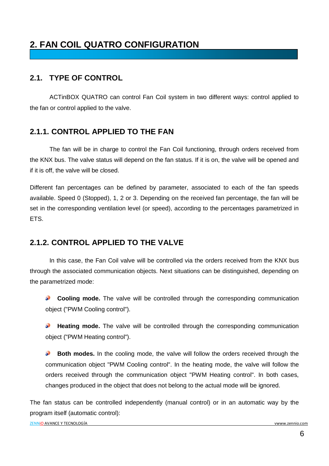## <span id="page-5-0"></span>**2. FAN COIL QUATRO CONFIGURATION**

#### <span id="page-5-1"></span>**2.1. TYPE OF CONTROL**

ACTinBOX QUATRO can control Fan Coil system in two different ways: control applied to the fan or control applied to the valve.

#### <span id="page-5-2"></span>**2.1.1. CONTROL APPLIED TO THE FAN**

The fan will be in charge to control the Fan Coil functioning, through orders received from the KNX bus. The valve status will depend on the fan status. If it is on, the valve will be opened and if it is off, the valve will be closed.

Different fan percentages can be defined by parameter, associated to each of the fan speeds available. Speed 0 (Stopped), 1, 2 or 3. Depending on the received fan percentage, the fan will be set in the corresponding ventilation level (or speed), according to the percentages parametrized in ETS.

#### <span id="page-5-3"></span>**2.1.2. CONTROL APPLIED TO THE VALVE**

In this case, the Fan Coil valve will be controlled via the orders received from the KNX bus through the associated communication objects. Next situations can be distinguished, depending on the parametrized mode:

**Cooling mode.** The valve will be controlled through the corresponding communication S. object ("PWM Cooling control").

S **Heating mode.** The valve will be controlled through the corresponding communication object ("PWM Heating control").

53 **Both modes.** In the cooling mode, the valve will follow the orders received through the communication object "PWM Cooling control". In the heating mode, the valve will follow the orders received through the communication object "PWM Heating control". In both cases, changes produced in the object that does not belong to the actual mode will be ignored.

The fan status can be controlled independently (manual control) or in an automatic way by the program itself (automatic control):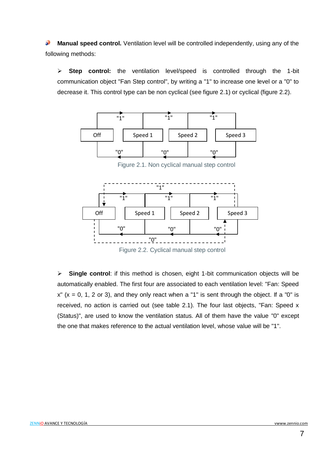S **Manual speed control.** Ventilation level will be controlled independently, using any of the following methods:

 **Step control:** the ventilation level/speed is controlled through the 1-bit communication object "Fan Step control", by writing a "1" to increase one level or a "0" to decrease it. This control type can be non cyclical (see figure 2.1) or cyclical (figure 2.2).



Figure 2.1. Non cyclical manual step control



 **Single control**: if this method is chosen, eight 1-bit communication objects will be automatically enabled. The first four are associated to each ventilation level: "Fan: Speed  $x''$  ( $x = 0$ , 1, 2 or 3), and they only react when a "1" is sent through the object. If a "0" is received, no action is carried out (see table 2.1). The four last objects, "Fan: Speed x (Status)", are used to know the ventilation status. All of them have the value "0" except the one that makes reference to the actual ventilation level, whose value will be "1".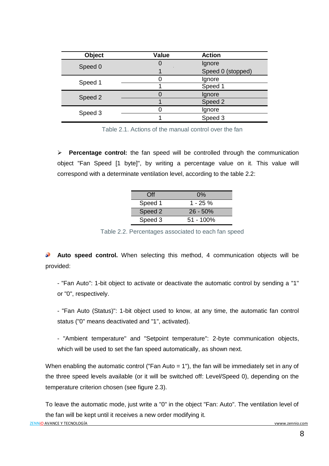| <b>Object</b> | <b>Value</b> | <b>Action</b>     |
|---------------|--------------|-------------------|
| Speed 0       |              | Ignore            |
|               |              | Speed 0 (stopped) |
| Speed 1       |              | Ignore            |
|               |              | Speed 1           |
| Speed 2       |              | Ignore            |
|               |              | Speed 2           |
| Speed 3       |              | Ignore            |
|               |              | Speed 3           |

Table 2.1. Actions of the manual control over the fan

 **Percentage control:** the fan speed will be controlled through the communication object "Fan Speed [1 byte]", by writing a percentage value on it. This value will correspond with a determinate ventilation level, according to the table 2.2:

| <b>Off</b> | $0\%$        |
|------------|--------------|
| Speed 1    | 1 - 25 %     |
| Speed 2    | $26 - 50%$   |
| Speed 3    | $51 - 100\%$ |

Table 2.2. Percentages associated to each fan speed

**Auto speed control.** When selecting this method, 4 communication objects will be provided:

- "Fan Auto": 1-bit object to activate or deactivate the automatic control by sending a "1" or "0", respectively.

- "Fan Auto (Status)": 1-bit object used to know, at any time, the automatic fan control status ("0" means deactivated and "1", activated).

- "Ambient temperature" and "Setpoint temperature": 2-byte communication objects, which will be used to set the fan speed automatically, as shown next.

When enabling the automatic control ("Fan Auto = 1"), the fan will be immediately set in any of the three speed levels available (or it will be switched off: Level/Speed 0), depending on the temperature criterion chosen (see figure 2.3).

To leave the automatic mode, just write a "0" in the object "Fan: Auto". The ventilation level of the fan will be kept until it receives a new order modifying it.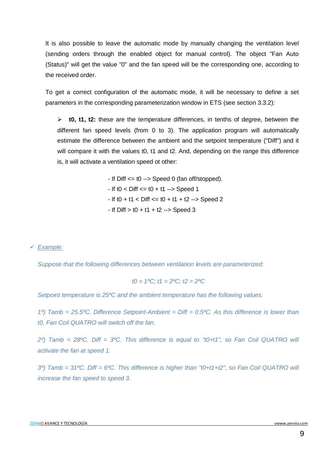It is also possible to leave the automatic mode by manually changing the ventilation level (sending orders through the enabled object for manual control). The object "Fan Auto (Status)" will get the value "0" and the fan speed will be the corresponding one, according to the received order.

To get a correct configuration of the automatic mode, it will be necessary to define a set parameters in the corresponding parameterization window in ETS (see section 3.3.2):

 **t0, t1, t2:** these are the temperature differences, in tenths of degree, between the different fan speed levels (from 0 to 3). The application program will automatically estimate the difference between the ambient and the setpoint temperature ("Diff") and it will compare it with the values t0, t1 and t2. And, depending on the range this difference is, it will activate a ventilation speed ot other:

 $-$  If Diff  $\leq$  t0  $\rightarrow$  Speed 0 (fan off/stopped).

 $-$  If t0  $<$  Diff  $<=$  t0  $+$  t1  $\rightarrow$  Speed 1

- $-$  If t0  $+$  t1  $<$  Diff  $=$  t0  $+$  t1  $+$  t2  $-$ > Speed 2
- $-$  If Diff  $>$  t0  $+$  t1  $+$  t2  $>$  Speed 3

*Example:*

*Suppose that the following differences between ventilation levels are parameterized:*

$$
t0 = 1^{\circ}\text{C}; t1 = 2^{\circ}\text{C}; t2 = 2^{\circ}\text{C}
$$

*Setpoint temperature is 25ºC and the ambient temperature has the following values:*

*1º) Tamb = 25.5ºC. Difference Setpoint-Ambient = Diff = 0.5ºC. As this difference is lower than t0, Fan Coil QUATRO will switch off the fan.*

*2º) Tamb = 28ºC. Diff = 3ºC. This difference is equal to "t0+t1", so Fan Coil QUATRO will activate the fan at speed 1.*

*3º) Tamb = 31ºC. Diff = 6ºC. This difference is higher than "t0+t1+t2", so Fan Coil QUATRO will increase the fan speed to speed 3.*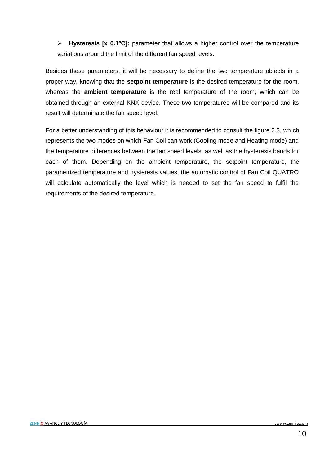**Hysteresis [x 0.1ºC]:** parameter that allows a higher control over the temperature variations around the limit of the different fan speed levels.

Besides these parameters, it will be necessary to define the two temperature objects in a proper way, knowing that the **setpoint temperature** is the desired temperature for the room, whereas the **ambient temperature** is the real temperature of the room, which can be obtained through an external KNX device. These two temperatures will be compared and its result will determinate the fan speed level.

For a better understanding of this behaviour it is recommended to consult the figure 2.3, which represents the two modes on which Fan Coil can work (Cooling mode and Heating mode) and the temperature differences between the fan speed levels, as well as the hysteresis bands for each of them. Depending on the ambient temperature, the setpoint temperature, the parametrized temperature and hysteresis values, the automatic control of Fan Coil QUATRO will calculate automatically the level which is needed to set the fan speed to fulfil the requirements of the desired temperature.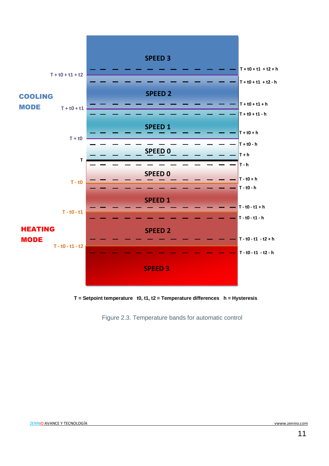

**T = Setpoint temperature t0, t1, t2 = Temperature differences h = Hysteresis**

Figure 2.3. Temperature bands for automatic control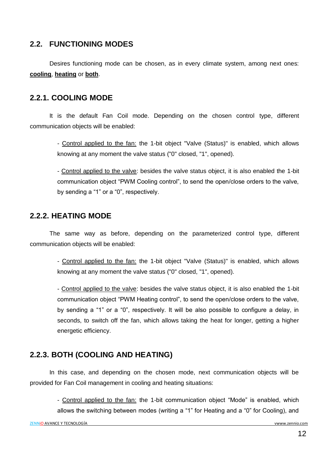#### <span id="page-11-0"></span>**2.2. FUNCTIONING MODES**

Desires functioning mode can be chosen, as in every climate system, among next ones: **cooling**, **heating** or **both**.

#### <span id="page-11-1"></span>**2.2.1. COOLING MODE**

It is the default Fan Coil mode. Depending on the chosen control type, different communication objects will be enabled:

> - Control applied to the fan: the 1-bit object "Valve (Status)" is enabled, which allows knowing at any moment the valve status ("0" closed, "1", opened).

> - Control applied to the valve: besides the valve status object, it is also enabled the 1-bit communication object "PWM Cooling control", to send the open/close orders to the valve, by sending a "1" or a "0", respectively.

#### <span id="page-11-2"></span>**2.2.2. HEATING MODE**

The same way as before, depending on the parameterized control type, different communication objects will be enabled:

> - Control applied to the fan: the 1-bit object "Valve (Status)" is enabled, which allows knowing at any moment the valve status ("0" closed, "1", opened).

> - Control applied to the valve: besides the valve status object, it is also enabled the 1-bit communication object "PWM Heating control", to send the open/close orders to the valve, by sending a "1" or a "0", respectively. It will be also possible to configure a delay, in seconds, to switch off the fan, which allows taking the heat for longer, getting a higher energetic efficiency.

#### <span id="page-11-3"></span>**2.2.3. BOTH (COOLING AND HEATING)**

In this case, and depending on the chosen mode, next communication objects will be provided for Fan Coil management in cooling and heating situations:

> - Control applied to the fan: the 1-bit communication object "Mode" is enabled, which allows the switching between modes (writing a "1" for Heating and a "0" for Cooling), and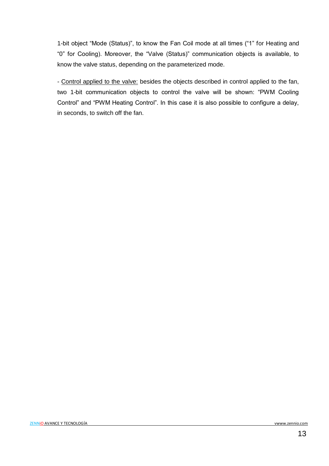1-bit object "Mode (Status)", to know the Fan Coil mode at all times ("1" for Heating and "0" for Cooling). Moreover, the "Valve (Status)" communication objects is available, to know the valve status, depending on the parameterized mode.

- Control applied to the valve: besides the objects described in control applied to the fan, two 1-bit communication objects to control the valve will be shown: "PWM Cooling Control" and "PWM Heating Control". In this case it is also possible to configure a delay, in seconds, to switch off the fan.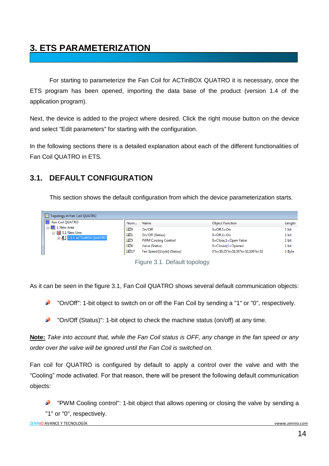# <span id="page-13-0"></span>**3. ETS PARAMETERIZATION**

For starting to parameterize the Fan Coil for ACTinBOX QUATRO it is necessary, once the ETS program has been opened, importing the data base of the product (version 1.4 of the application program).

Next, the device is added to the project where desired. Click the right mouse button on the device and select "Edit parameters" for starting with the configuration.

In the following sections there is a detailed explanation about each of the different functionalities of Fan Coil QUATRO in ETS.

#### <span id="page-13-1"></span>**3.1. DEFAULT CONFIGURATION**

This section shows the default configuration from which the device parameterization starts.

| Topology in Fan Coil QUATRO      |                   |                            |                                        |        |
|----------------------------------|-------------------|----------------------------|----------------------------------------|--------|
| Fan Coil QUATRO                  | Num               | Name                       | <b>Object Function</b>                 | Length |
| <b>III</b> 1 New Area            | l≣¤∄0             | On/Off                     | $0=Off.1=On$                           | 1 bit  |
| $\Box$ $\Box$ 1.1 New Line       | $\blacksquare$ 1  | On/Off (Status)            | $0=Off.1=On$                           | 1 bit  |
| <b>E-H</b> 1.1.1 ACTInBOX QUATRO | ■ 15              | <b>PWM Cooling Control</b> | 0=Close,1=Open Valve                   | 1 bit  |
|                                  | <b>EZ</b> 6       | Valve (Status)             | $0 = Closed, 1 = Opened$               | 1 bit  |
|                                  | $\blacksquare$ 17 | Fan Speed [1byte] (Status) | $0\% =$ S0:25% = S1:50% = S2:100% = S3 | 1 Byte |

Figure 3.1. Default topology

As it can be seen in the figure 3.1, Fan Coil QUATRO shows several default communication objects:

Đ "On/Off": 1-bit object to switch on or off the Fan Coil by sending a "1" or "0", respectively.

D "On/Off (Status)": 1-bit object to check the machine status (on/off) at any time.

**Note:** *Take into account that, while the Fan Coil status is OFF, any change in the fan speed or any order over the valve will be ignored until the Fan Coil is switched on.* 

Fan coil for QUATRO is configured by default to apply a control over the valve and with the "Cooling" mode activated. For that reason, there will be present the following default communication objects:

 $\bullet$ "PWM Cooling control": 1-bit object that allows opening or closing the valve by sending a "1" or "0", respectively.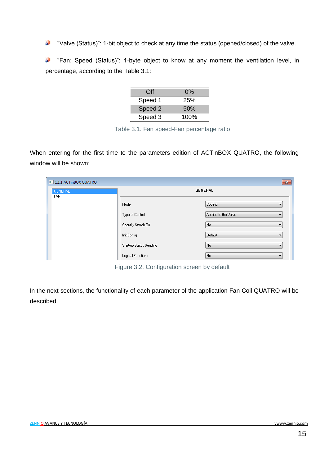5 "Valve (Status)": 1-bit object to check at any time the status (opened/closed) of the valve.

"Fan: Speed (Status)": 1-byte object to know at any moment the ventilation level, in S percentage, according to the Table 3.1:

| Off     | $0\%$ |
|---------|-------|
| Speed 1 | 25%   |
| Speed 2 | 50%   |
| Speed 3 | 100%  |

Table 3.1. Fan speed-Fan percentage ratio

When entering for the first time to the parameters edition of ACTinBOX QUATRO, the following window will be shown:

| 1.1.1 ACTInBOX QUATRO |                         | $\mathbf{x}$         |
|-----------------------|-------------------------|----------------------|
| GENERAL<br><b>FAN</b> | <b>GENERAL</b>          |                      |
|                       | Mode                    | Cooling              |
|                       | Type of Control         | Applied to the Valve |
|                       | Security Switch-Off     | No.                  |
|                       | Init Config             | Default              |
|                       | Start-up Status Sending | No.<br>▼             |
|                       | Logical Functions       | No.                  |

Figure 3.2. Configuration screen by default

In the next sections, the functionality of each parameter of the application Fan Coil QUATRO will be described.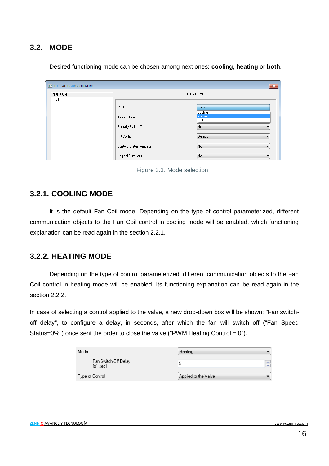#### <span id="page-15-0"></span>**3.2. MODE**

| 1.1.1 ACTInBOX QUATRO |                         |                                          | $-x$                     |
|-----------------------|-------------------------|------------------------------------------|--------------------------|
| GENERAL<br>FAN        |                         | <b>GENERAL</b>                           |                          |
|                       | Mode                    | Cooling                                  |                          |
|                       | Type of Control         | Cooling<br><b>Heating</b><br><b>Both</b> |                          |
|                       | Security Switch-Off     | No                                       |                          |
|                       | Init Config             | Default                                  | $\overline{\phantom{a}}$ |
|                       | Start-up Status Sending | No                                       | ▼                        |
|                       | Logical Functions       | No                                       | ▼                        |

Desired functioning mode can be chosen among next ones: **cooling**, **heating** or **both**.



#### <span id="page-15-1"></span>**3.2.1. COOLING MODE**

It is the default Fan Coil mode. Depending on the type of control parameterized, different communication objects to the Fan Coil control in cooling mode will be enabled, which functioning explanation can be read again in the section 2.2.1.

#### <span id="page-15-2"></span>**3.2.2. HEATING MODE**

Depending on the type of control parameterized, different communication objects to the Fan Coil control in heating mode will be enabled. Its functioning explanation can be read again in the section 2.2.2.

In case of selecting a control applied to the valve, a new drop-down box will be shown: "Fan switchoff delay", to configure a delay, in seconds, after which the fan will switch off ("Fan Speed Status=0%") once sent the order to close the valve ("PWM Heating Control =  $0$ ").

| Mode                                       | Heating              |   |
|--------------------------------------------|----------------------|---|
| Fan Switch-Off Delay<br>$[x1 \text{ sec}]$ | b                    | ÷ |
| Type of Control                            | Applied to the Valve |   |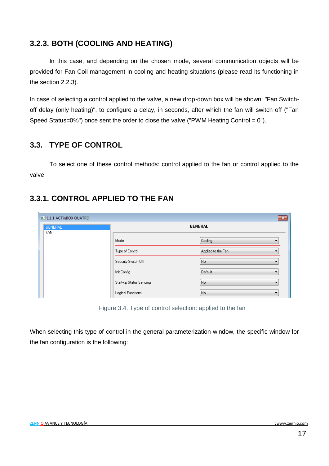#### <span id="page-16-0"></span>**3.2.3. BOTH (COOLING AND HEATING)**

In this case, and depending on the chosen mode, several communication objects will be provided for Fan Coil management in cooling and heating situations (please read its functioning in the section 2.2.3).

In case of selecting a control applied to the valve, a new drop-down box will be shown: "Fan Switchoff delay (only heating)", to configure a delay, in seconds, after which the fan will switch off ("Fan Speed Status=0%") once sent the order to close the valve ("PWM Heating Control =  $0$ ").

#### <span id="page-16-1"></span>**3.3. TYPE OF CONTROL**

To select one of these control methods: control applied to the fan or control applied to the valve.

#### <span id="page-16-2"></span>**3.3.1. CONTROL APPLIED TO THE FAN**

| 1.1.1 ACTInBOX QUATRO<br>$-x$ |                         |                    |  |  |
|-------------------------------|-------------------------|--------------------|--|--|
| <b>GENERAL</b>                |                         | <b>GENERAL</b>     |  |  |
| <b>FAN</b>                    |                         |                    |  |  |
|                               | Mode                    | Cooling<br>▼       |  |  |
|                               | Type of Control         | Applied to the Fan |  |  |
|                               | Security Switch-Off     | No<br>▼            |  |  |
|                               | Init Config             | Default<br>▼       |  |  |
|                               | Start-up Status Sending | No<br>▼            |  |  |
|                               | Logical Functions       | No<br>▼            |  |  |

Figure 3.4. Type of control selection: applied to the fan

When selecting this type of control in the general parameterization window, the specific window for the fan configuration is the following: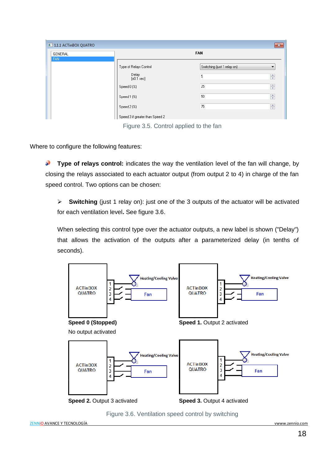| 1.1.1 ACTInBOX QUATRO |                                                                                       | $\mathbf{x}$                                                     |
|-----------------------|---------------------------------------------------------------------------------------|------------------------------------------------------------------|
| GENERAL<br><b>FAN</b> | <b>FAN</b>                                                                            |                                                                  |
|                       | Type of Relays Control<br>Delay<br>$[x0.1 \text{ sec}]$<br>Speed 0 (%)<br>Speed 1 (%) | Switching (just 1 relay on)<br>▼<br>÷<br>5<br>÷<br>25<br>츷<br>50 |
|                       | Speed 2 (%)                                                                           | 츷<br>75                                                          |
|                       | Speed 3 if greater than Speed 2                                                       |                                                                  |

Figure 3.5. Control applied to the fan

Where to configure the following features:

53 **Type of relays control:** indicates the way the ventilation level of the fan will change, by closing the relays associated to each actuator output (from output 2 to 4) in charge of the fan speed control. Two options can be chosen:

 **Switching** (just 1 relay on): just one of the 3 outputs of the actuator will be activated for each ventilation level**.** See figure 3.6.

When selecting this control type over the actuator outputs, a new label is shown ("Delay") that allows the activation of the outputs after a parameterized delay (in tenths of seconds).



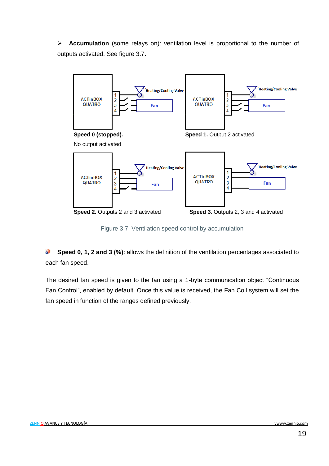**Accumulation** (some relays on): ventilation level is proportional to the number of outputs activated. See figure 3.7.



Figure 3.7. Ventilation speed control by accumulation

**Speed 0, 1, 2 and 3 (%)**: allows the definition of the ventilation percentages associated to S each fan speed.

The desired fan speed is given to the fan using a 1-byte communication object "Continuous Fan Control", enabled by default. Once this value is received, the Fan Coil system will set the fan speed in function of the ranges defined previously.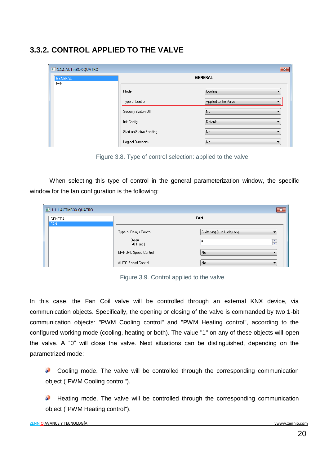#### <span id="page-19-0"></span>**3.3.2. CONTROL APPLIED TO THE VALVE**

| 1.1.1 ACTInBOX QUATRO        |                         | $-23$                |
|------------------------------|-------------------------|----------------------|
| <b>GENERAL</b><br><b>FAN</b> | <b>GENERAL</b>          |                      |
|                              | Mode                    | Cooling<br>▼         |
|                              | Type of Control         | Applied to the Valve |
|                              | Security Switch-Off     | No                   |
|                              | Init Config             | Default<br>▼         |
|                              | Start-up Status Sending | No.<br>₹.            |
|                              | Logical Functions       | No<br>▼              |

Figure 3.8. Type of control selection: applied to the valve

When selecting this type of control in the general parameterization window, the specific window for the fan configuration is the following:

| 1.1.1 ACTInBOX QUATRO |                                                                                                       | $\mathbf{x}$                                                           |
|-----------------------|-------------------------------------------------------------------------------------------------------|------------------------------------------------------------------------|
| GENERAL               |                                                                                                       | <b>FAN</b>                                                             |
| I FAN                 | Type of Relays Control<br>Delay<br>$[x0.1 \text{ sec}]$<br>MANUAL Speed Control<br>AUTO Speed Control | Switching (just 1 relay on)<br>$\frac{1}{\sqrt{2}}$<br>5<br>No.<br>No. |

Figure 3.9. Control applied to the valve

In this case, the Fan Coil valve will be controlled through an external KNX device, via communication objects. Specifically, the opening or closing of the valve is commanded by two 1-bit communication objects: "PWM Cooling control" and "PWM Heating control", according to the configured working mode (cooling, heating or both). The value "1" on any of these objects will open the valve. A "0" will close the valve. Next situations can be distinguished, depending on the parametrized mode:

Cooling mode. The valve will be controlled through the corresponding communication object ("PWM Cooling control").

Heating mode. The valve will be controlled through the corresponding communication object ("PWM Heating control").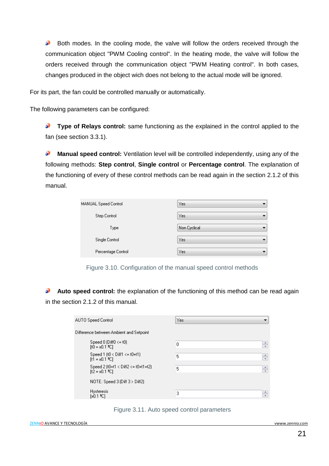$\bullet$ Both modes. In the cooling mode, the valve will follow the orders received through the communication object "PWM Cooling control". In the heating mode, the valve will follow the orders received through the communication object "PWM Heating control". In both cases, changes produced in the object wich does not belong to the actual mode will be ignored.

For its part, the fan could be controlled manually or automatically.

The following parameters can be configured:

53 **Type of Relays control:** same functioning as the explained in the control applied to the fan (see section 3.3.1).

5 **Manual speed control:** Ventilation level will be controlled independently, using any of the following methods: **Step control**, **Single control** or **Percentage control**. The explanation of the functioning of every of these control methods can be read again in the section 2.1.2 of this manual.

| MANUAL Speed Control | Yes          |  |  |  |  |
|----------------------|--------------|--|--|--|--|
| Step Control         | Yes          |  |  |  |  |
| Type                 | Non Cyclical |  |  |  |  |
| Single Control       | Yes          |  |  |  |  |
| Percentage Control   | Yes          |  |  |  |  |

Figure 3.10. Configuration of the manual speed control methods

**Auto speed control:** the explanation of the functioning of this method can be read again S in the section 2.1.2 of this manual.

| AUTO Speed Control                                                  | Yes |   |
|---------------------------------------------------------------------|-----|---|
| Difference between Ambient and Setpoint                             |     |   |
| Speed 0 (Diff $0 \leq t$ 0)<br>$[10 - x0.1$ °C1                     | 0   | ÷ |
| Speed 1 $(t0 < 0$ if $1 \le t0+t1$<br>$[t1 = x0.1$ °C1              | 5   | ÷ |
| Speed 2 (t0+t1 < Diff2 <= t0+t1+t2)<br>$[t2 = x0.1$ <sup>o</sup> C] | 5   | ÷ |
| NOTE: Speed 3 (Diff $3 >$ Diff2)                                    |     |   |
| <b>Hysteresis</b><br>$[x0.1]$ <sup>2</sup> C1                       | 3   | ÷ |

#### Figure 3.11. Auto speed control parameters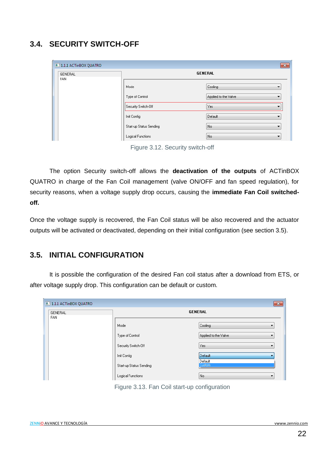#### <span id="page-21-0"></span>**3.4. SECURITY SWITCH-OFF**

| 1.1.1 ACTInBOX QUATRO |                         | $\mathbf{x}$              |  |  |  |
|-----------------------|-------------------------|---------------------------|--|--|--|
| GENERAL<br><b>FAN</b> | <b>GENERAL</b>          |                           |  |  |  |
|                       | Mode                    | Cooling<br>▼              |  |  |  |
|                       | Type of Control         | Applied to the Valve<br>▼ |  |  |  |
|                       | Security Switch-Off     | Yes                       |  |  |  |
|                       | Init Config             | Default<br>▼              |  |  |  |
|                       | Start-up Status Sending | No.<br>▼                  |  |  |  |
|                       | Logical Functions       | No.<br>۰                  |  |  |  |

Figure 3.12. Security switch-off

The option Security switch-off allows the **deactivation of the outputs** of ACTinBOX QUATRO in charge of the Fan Coil management (valve ON/OFF and fan speed regulation), for security reasons, when a voltage supply drop occurs, causing the **immediate Fan Coil switchedoff.**

Once the voltage supply is recovered, the Fan Coil status will be also recovered and the actuator outputs will be activated or deactivated, depending on their initial configuration (see section 3.5).

#### <span id="page-21-1"></span>**3.5. INITIAL CONFIGURATION**

It is possible the configuration of the desired Fan coil status after a download from ETS, or after voltage supply drop. This configuration can be default or custom.

| 1.1.1 ACTInBOX QUATRO |                         | $\mathbf{x}$              |  |  |  |  |  |  |
|-----------------------|-------------------------|---------------------------|--|--|--|--|--|--|
| GENERAL               | <b>GENERAL</b>          |                           |  |  |  |  |  |  |
| FAN                   |                         |                           |  |  |  |  |  |  |
|                       | Mode                    | Cooling<br>٠              |  |  |  |  |  |  |
|                       | Type of Control         | Applied to the Valve<br>▼ |  |  |  |  |  |  |
|                       | Security Switch-Off     | Yes<br>۰.                 |  |  |  |  |  |  |
|                       | Init Config             | Default                   |  |  |  |  |  |  |
|                       | Start-up Status Sending | Default<br><b>Custom</b>  |  |  |  |  |  |  |
|                       | Logical Functions       | No.<br>$\mathbf{r}$       |  |  |  |  |  |  |

Figure 3.13. Fan Coil start-up configuration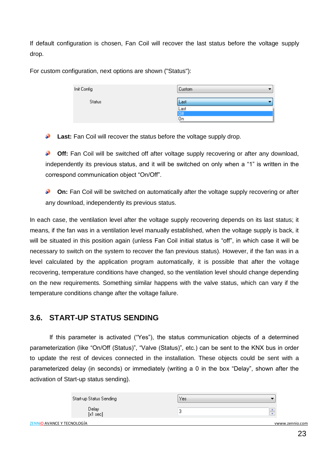If default configuration is chosen, Fan Coil will recover the last status before the voltage supply drop.

For custom configuration, next options are shown ("Status"):

| Init Config   | <b>Custom</b>            |
|---------------|--------------------------|
| <b>Status</b> | Last                     |
|               | Last<br><mark>Off</mark> |
|               |                          |
|               | On                       |

**Last:** Fan Coil will recover the status before the voltage supply drop.

S. **Off:** Fan Coil will be switched off after voltage supply recovering or after any download, independently its previous status, and it will be switched on only when a "1" is written in the correspond communication object "On/Off".

53 **On:** Fan Coil will be switched on automatically after the voltage supply recovering or after any download, independently its previous status.

In each case, the ventilation level after the voltage supply recovering depends on its last status; it means, if the fan was in a ventilation level manually established, when the voltage supply is back, it will be situated in this position again (unless Fan Coil initial status is "off", in which case it will be necessary to switch on the system to recover the fan previous status). However, if the fan was in a level calculated by the application program automatically, it is possible that after the voltage recovering, temperature conditions have changed, so the ventilation level should change depending on the new requirements. Something similar happens with the valve status, which can vary if the temperature conditions change after the voltage failure.

#### <span id="page-22-0"></span>**3.6. START-UP STATUS SENDING**

If this parameter is activated ("Yes"), the status communication objects of a determined parameterization (like "On/Off (Status)", "Valve (Status)", etc.) can be sent to the KNX bus in order to update the rest of devices connected in the installation. These objects could be sent with a parameterized delay (in seconds) or immediately (writing a 0 in the box "Delay", shown after the activation of Start-up status sending).

|                            | Start-up Status Sending | Yes |                 |
|----------------------------|-------------------------|-----|-----------------|
|                            | Delay<br>[x1 sec]       |     |                 |
| ZENNIO AVANCE Y TECNOLOGÍA |                         |     | vwww.zennio.com |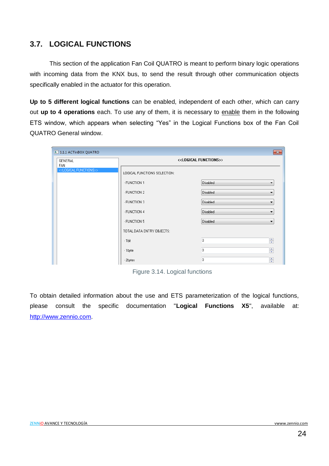#### <span id="page-23-0"></span>**3.7. LOGICAL FUNCTIONS**

This section of the application Fan Coil QUATRO is meant to perform binary logic operations with incoming data from the KNX bus, to send the result through other communication objects specifically enabled in the actuator for this operation.

**Up to 5 different logical functions** can be enabled, independent of each other, which can carry out **up to 4 operations** each. To use any of them, it is necessary to enable them in the following ETS window, which appears when selecting "Yes" in the Logical Functions box of the Fan Coil QUATRO General window.

| 1.1.1 ACTInBOX QUATRO                         |                                        | $\mathbf{x}$                         |  |  |  |
|-----------------------------------------------|----------------------------------------|--------------------------------------|--|--|--|
| GENERAL                                       | < <logical functions="">&gt;</logical> |                                      |  |  |  |
| FAN<br>< <logical functions="">&gt;</logical> | LOGICAL FUNCTIONS SELECTION:           |                                      |  |  |  |
|                                               | - FUNCTION 1                           | Disabled<br>$\overline{\phantom{a}}$ |  |  |  |
|                                               | - FUNCTION 2                           | Disabled<br>▼                        |  |  |  |
|                                               | - FUNCTION 3                           | Disabled<br>$\overline{\phantom{a}}$ |  |  |  |
|                                               | - FUNCTION 4                           | <b>Disabled</b><br>▼                 |  |  |  |
|                                               | - FUNCTION 5                           | Disabled<br>۰                        |  |  |  |
|                                               | TOTAL DATA ENTRY OBJECTS:              |                                      |  |  |  |
|                                               | $-1bit$                                | ÷<br>0                               |  |  |  |
|                                               | -1byte                                 | $\frac{1}{x}$<br>$\overline{0}$      |  |  |  |
|                                               | - 2bytes                               | ÷<br>0                               |  |  |  |

Figure 3.14. Logical functions

To obtain detailed information about the use and ETS parameterization of the logical functions, please consult the specific documentation "**Logical Functions X5**", available at: [http://www.zennio.com.](http://www.zennio.com/)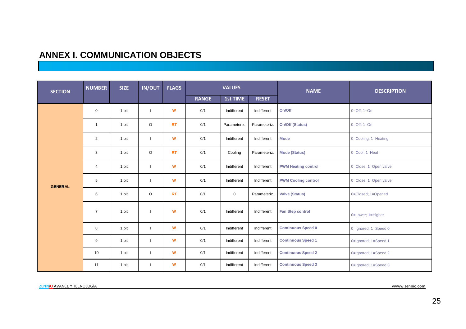#### **ANNEX I. COMMUNICATION OBJECTS**

<span id="page-24-0"></span>

| <b>SECTION</b> | <b>NUMBER</b>  | <b>SIZE</b> | <b>IN/OUT</b> | <b>FLAGS</b> |              | <b>VALUES</b> |              | <b>NAME</b>                | <b>DESCRIPTION</b>    |
|----------------|----------------|-------------|---------------|--------------|--------------|---------------|--------------|----------------------------|-----------------------|
|                |                |             |               |              | <b>RANGE</b> | 1st TIME      | <b>RESET</b> |                            |                       |
|                | $\mathbf 0$    | 1 bit       | $\mathbf{I}$  | W            | 0/1          | Indifferent   | Indifferent  | On/Off                     | $0=Off; 1=On$         |
|                | $\mathbf{1}$   | 1 bit       | $\circ$       | <b>RT</b>    | 0/1          | Parameteriz.  | Parameteriz. | On/Off (Status)            | $0=Off$ ; $1=On$      |
|                | $\overline{2}$ | 1 bit       |               | W            | 0/1          | Indifferent   | Indifferent  | <b>Mode</b>                | 0=Cooling; 1=Heating  |
|                | 3              | 1 bit       | $\circ$       | <b>RT</b>    | 0/1          | Cooling       | Parameteriz. | <b>Mode (Status)</b>       | 0=Cool; 1=Heat        |
|                | $\overline{4}$ | 1 bit       | $\mathbf{I}$  | W            | 0/1          | Indifferent   | Indifferent  | <b>PWM Heating control</b> | 0=Close; 1=Open valve |
| <b>GENERAL</b> | 5              | 1 bit       |               | W            | 0/1          | Indifferent   | Indifferent  | <b>PWM Cooling control</b> | 0=Close; 1=Open valve |
|                | 6              | 1 bit       | $\circ$       | <b>RT</b>    | 0/1          | $\mathbf 0$   | Parameteriz. | <b>Valve (Status)</b>      | 0=Closed; 1=Opened    |
|                | $\overline{7}$ | 1 bit       |               | W            | 0/1          | Indifferent   | Indifferent  | <b>Fan Step control</b>    | 0=Lower; 1=Higher     |
|                | 8              | 1 bit       | $\mathbf{I}$  | W            | 0/1          | Indifferent   | Indifferent  | <b>Continuous Speed 0</b>  | 0=Ignored; 1=Speed 0  |
|                | 9              | 1 bit       |               | W            | 0/1          | Indifferent   | Indifferent  | <b>Continuous Speed 1</b>  | 0=Ignored; 1=Speed 1  |
|                | 10             | 1 bit       |               | W            | 0/1          | Indifferent   | Indifferent  | <b>Continuous Speed 2</b>  | 0=Ignored; 1=Speed 2  |
|                | 11             | 1 bit       |               | W            | 0/1          | Indifferent   | Indifferent  | <b>Continuous Speed 3</b>  | 0=Ignored; 1=Speed 3  |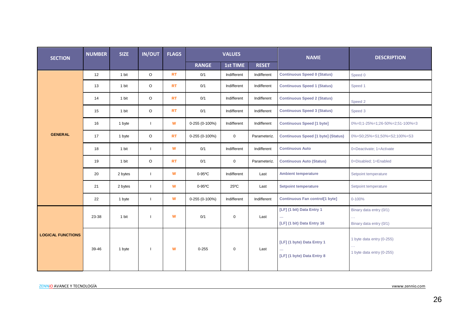| 0%=0;1-25%=1;26-50%=2;51-100%=3 |
|---------------------------------|
| 0%=S0;25%=S1;50%=S2;100%=S3     |
|                                 |
|                                 |
|                                 |
|                                 |
|                                 |
|                                 |
|                                 |
|                                 |
|                                 |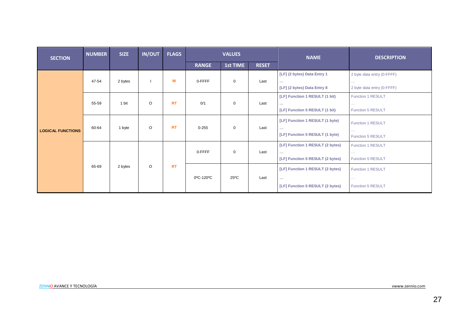| <b>SECTION</b>           | <b>NUMBER</b> | <b>SIZE</b> | <b>IN/OUT</b> | <b>FLAGS</b> | <b>VALUES</b> |                | <b>NAME</b>  | <b>DESCRIPTION</b>                                                                    |                                                                                  |
|--------------------------|---------------|-------------|---------------|--------------|---------------|----------------|--------------|---------------------------------------------------------------------------------------|----------------------------------------------------------------------------------|
|                          |               |             |               |              | <b>RANGE</b>  | 1st TIME       | <b>RESET</b> |                                                                                       |                                                                                  |
| <b>LOGICAL FUNCTIONS</b> | 47-54         | 2 bytes     |               | W            | 0-FFFF        | $\mathbf 0$    | Last         | [LF] (2 bytes) Data Entry 1<br>$\sim 100$<br>[LF] (2 bytes) Data Entry 8              | 2 byte data entry (0-FFFF)<br>$\sim$ $\sim$ $\sim$<br>2 byte data entry (0-FFFF) |
|                          | 55-59         | 1 bit       | $\circ$       | <b>RT</b>    | 0/1           | $\mathbf 0$    | Last         | [LF] Function 1 RESULT (1 bit)<br><br>[LF] Function 5 RESULT (1 bit)                  | Function 1 RESULT<br>$\sim 100$<br><b>Function 5 RESULT</b>                      |
|                          | 60-64         | 1 byte      | $\circ$       | <b>RT</b>    | $0 - 255$     | $\mathbf 0$    | Last         | [LF] Function 1 RESULT (1 byte)<br>$\cdots$<br>[LF] Function 5 RESULT (1 byte)        | <b>Function 1 RESULT</b><br>$\sim 100$<br><b>Function 5 RESULT</b>               |
|                          | 65-69         | 2 bytes     | $\circ$       |              | 0-FFFF        | $\mathbf 0$    | Last         | [LF] Function 1 RESULT (2 bytes)<br>$\sim$ $\sim$<br>[LF] Function 5 RESULT (2 bytes) | <b>Function 1 RESULT</b><br>$\sim 100$<br><b>Function 5 RESULT</b>               |
|                          |               |             |               | <b>RT</b>    | 0°C-120°C     | $25^{\circ}$ C | Last         | [LF] Function 1 RESULT (2 bytes)<br>$\sim$<br>[LF] Function 5 RESULT (2 bytes)        | <b>Function 1 RESULT</b><br>$\sim 100$<br><b>Function 5 RESULT</b>               |